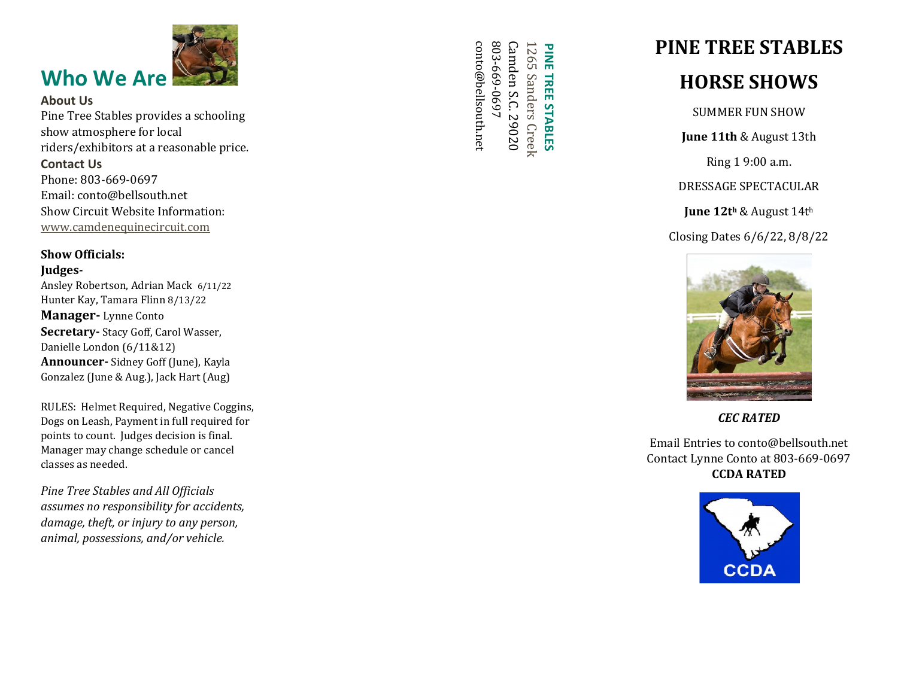

## About Us

Pine Tree Stables provides a schooling show atmosphere for local riders/exhibitors at a reasonable price.

### Contact Us

Phone: 803 -669 -0697 Email: conto@bellsouth.net Show Circuit Website Information: [www.camdenequinecircuit.com](http://www.camdenequinecircuit.com/)

### Show Officials:

### Judges -

Ansley Robertson, Adrian Mack 6/11/2 2 Hunter Kay, Tamara Flinn 8/1 3/2 2 Manager- Lynne Conto Secretary- Stacy Goff, Carol Wasser, Danielle London (6/11&12) Announcer- Sidney Goff (June), Kayla Gonzalez (June & Aug.), Jack Hart (Aug)

RULES: Helmet Required, Negative Coggins, Dogs on Leash, Payment in full required for points to count. Judges decision is final. Manager may change schedule or cancel classes as needed.

*Pine Tree Stables and All Officials assumes no responsibility for accidents, damage, theft, or injury to any person, animal, possessions, and/or vehicle.*

803 1265 conto@bellsouth.net conto@bellsouth.net **Camden S.C. 29020** Camden S.C. 29020 **PINE** PINE TREE STABLES 265 Sanders Creek -669-0697 Sanders Creek **TREE STABLES** 

# PINE TREE STABLES

## HORSE SHOWS

SUMMER FUN SHOW

June 11th & August 13th

Ring 1 9:00 a.m.

DRESSAGE SPECTACULAR

**June 12th & August 14th** 

Closing Dates 6/6/22, 8/8/22



*CEC RATED*

Email Entries to conto@bellsouth.net Contact Lynne Conto at 803 -669 -0697 CCDA RATED

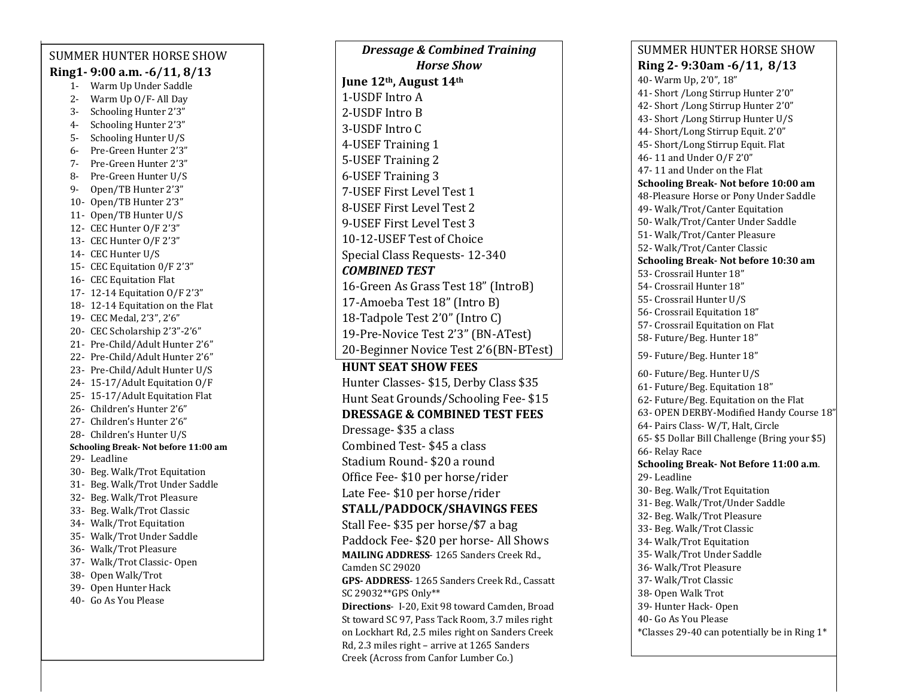#### SUMMER HUNTER HORSE SHOW Ring1 - 9:00 a.m. -6/11, 8/13 - Warm Up Under Saddle - Warm Up O/F - All Day - Schooling Hunter 2'3" - Schooling Hunter 2'3" - Schooling Hunter U/S - Pre -Green Hunter 2'3" - Pre -Green Hunter 2'3" - Pre -Green Hunter U/S - Open/TB Hunter 2'3" - Open/TB Hunter 2'3" - Open/TB Hunter U/S - CEC Hunter O/F 2'3" - CEC Hunter O/F 2'3" - CEC Hunter U/S - CEC Equitation 0/F 2'3" - CEC Equitation Flat - 12 -14 Equitation O/F 2'3" - 12 -14 Equitation on the Flat - CEC Medal, 2'3", 2'6" - CEC Scholarship 2'3" -2'6" - Pre -Child/Adult Hunter 2'6" - Pre -Child/Adult Hunter 2'6" - Pre -Child/Adult Hunter U/S - 15 -17/Adult Equitation O/F - 15 -17/Adult Equitation Flat - Children's Hunter 2'6" - Children's Hunter 2'6" - Children's Hunter U/S Schooling Break - Not before 11:00 am - Leadline

 - Beg. Walk/Trot Under Saddle - Beg. Walk/Trot Pleasure - Beg. Walk/Trot Classic - Walk/Trot Equitation - Walk/Trot Under Saddle - Walk/Trot Pleasure - Walk/Trot Classic - Open - Open Walk/Trot - Open Hunter Hack - Go As You Please

- Beg. Walk/Trot Equitation

*Dressage & Combined Training Horse Show* June 12<sup>th</sup>, August 14<sup>th</sup> -USDF Intro A -USDF Intro B -USDF Intro C -USEF Training 1 -USEF Training 2 -USEF Training 3 -USEF First Level Test 1 -USEF First Level Test 2 -USEF First Level Test 3 -12 -USEF Test of Choice Special Class Requests - 12 -340 *COMBINED TEST* -Green As Grass Test 18" (IntroB) -Amoeba Test 18" (Intro B) -Tadpole Test 2'0" (Intro C) -Pre -Novice Test 2'3" (BN -ATest) -Beginner Novice Test 2'6(BN -BTest) HUNT SEAT SHOW FEES Hunter Classes - \$15, Derby Class \$35 Hunt Seat Grounds/Schooling Fee - \$15 DRESSAGE & COMBINED TEST FEES Dressage - \$3 5 a class Combined Test - \$4 5 a class Stadium Round - \$20 a round Office Fee - \$10 per horse/rider Late Fee - \$10 per horse/rider STALL/PADDOCK/SHAVINGS FEES Stall Fee - \$3 5 per horse/\$7 a bag Paddock Fee - \$20 per horse - All Shows MAILING ADDRESS - 1265 Sanders Creek Rd., Camden SC 29020 GPS - ADDRESS - 1265 Sanders Creek Rd., Cassatt SC 29032\*\*GPS Only\*\* Directions- I-20, Exit 98 toward Camden, Broad St toward SC 97, Pass Tack Room, 3.7 miles right on Lockhart Rd, 2.5 miles right on Sanders Creek Rd, 2.3 miles right – arrive at 1265 Sanders Creek (Across from Canfor Lumber Co.)

### SUMMER HUNTER HORSE SHOW Ring 2 - 9:30am -6/11, 8/13 - Warm Up, 2'0", 18" - Short /Long Stirrup Hunter 2'0" - Short /Long Stirrup Hunter 2'0" - Short /Long Stirrup Hunter U/S - Short/Long Stirrup Equit. 2'0" - Short/Long Stirrup Equit. Fla t - 11 and Under O/F 2'0" 7 - 11 and Under on the Flat Schooling Break - Not before 10:00 am -Pleasure Horse or Pony Under Saddle - Walk/Trot/Canter Equitation - Walk/Trot/Canter Under Saddle - Walk/Trot/Canter Pleasure - Walk/Trot/Canter Classic Schooling Break - Not before 10:30 am - Crossrail Hunter 18" - Crossrail Hunter 18" - Crossrail Hunter U/S - Crossrail Equitation 18" - Crossrail Equitation on Flat - Future/Beg. Hunter 18" - Future/Beg. Hunter 18" - Future/Beg. Hunter U/S - Future/Beg. Equitation 18" 2 - Future/Beg. Equitation on the Flat - OPEN DERBY -Modified Handy Course 18" - Pairs Class - W/T, Halt, Circle 5 - \$5 Dollar Bill Challenge (Bring your \$5) - Relay Race Schooling Break - Not Before 11:00 a.m . - Leadline - Beg. Walk/Trot Equitation - Beg. Walk/Trot/Under Saddle - Beg. Walk/Trot Pleasure - Beg. Walk/Trot Classic 4 - Walk/Trot Equitation 5 - Walk/Trot Under Saddle 6 - Walk/Trot Pleasure 7 - Walk/Trot Classic 8 - Open Walk Trot 9 - Hunter Hack - Open - Go As You Please \*Classes 29 -40 can potentially be in Ring 1\*